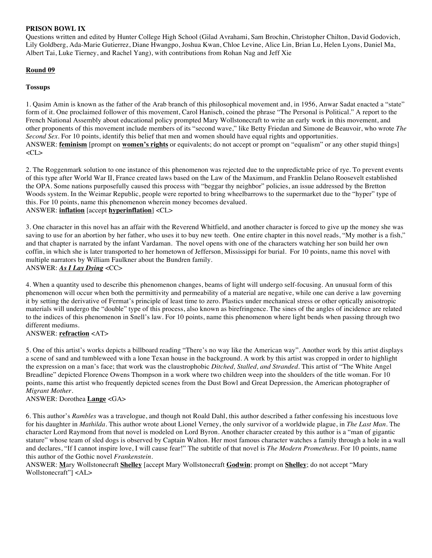## **PRISON BOWL IX**

Questions written and edited by Hunter College High School (Gilad Avrahami, Sam Brochin, Christopher Chilton, David Godovich, Lily Goldberg, Ada-Marie Gutierrez, Diane Hwangpo, Joshua Kwan, Chloe Levine, Alice Lin, Brian Lu, Helen Lyons, Daniel Ma, Albert Tai, Luke Tierney, and Rachel Yang), with contributions from Rohan Nag and Jeff Xie

# **Round 09**

## **Tossups**

1. Qasim Amin is known as the father of the Arab branch of this philosophical movement and, in 1956, Anwar Sadat enacted a "state" form of it. One proclaimed follower of this movement, Carol Hanisch, coined the phrase "The Personal is Political." A report to the French National Assembly about educational policy prompted Mary Wollstonecraft to write an early work in this movement, and other proponents of this movement include members of its "second wave," like Betty Friedan and Simone de Beauvoir, who wrote *The Second Sex*. For 10 points, identify this belief that men and women should have equal rights and opportunities. ANSWER: **feminism** [prompt on **women's rights** or equivalents; do not accept or prompt on "equalism" or any other stupid things]  $<$ CL $>$ 

2. The Roggenmark solution to one instance of this phenomenon was rejected due to the unpredictable price of rye. To prevent events of this type after World War II, France created laws based on the Law of the Maximum, and Franklin Delano Roosevelt established the OPA. Some nations purposefully caused this process with "beggar thy neighbor" policies, an issue addressed by the Bretton Woods system. In the Weimar Republic, people were reported to bring wheelbarrows to the supermarket due to the "hyper" type of this. For 10 points, name this phenomenon wherein money becomes devalued. ANSWER: **inflation** [accept **hyperinflation**] <CL>

3. One character in this novel has an affair with the Reverend Whitfield, and another character is forced to give up the money she was saving to use for an abortion by her father, who uses it to buy new teeth. One entire chapter in this novel reads, "My mother is a fish," and that chapter is narrated by the infant Vardaman. The novel opens with one of the characters watching her son build her own coffin, in which she is later transported to her hometown of Jefferson, Mississippi for burial. For 10 points, name this novel with multiple narrators by William Faulkner about the Bundren family. ANSWER: *As I Lay Dying* <CC>

4. When a quantity used to describe this phenomenon changes, beams of light will undergo self-focusing. An unusual form of this phenomenon will occur when both the permittivity and permeability of a material are negative, while one can derive a law governing it by setting the derivative of Fermat's principle of least time to zero. Plastics under mechanical stress or other optically anisotropic materials will undergo the "double" type of this process, also known as birefringence. The sines of the angles of incidence are related to the indices of this phenomenon in Snell's law. For 10 points, name this phenomenon where light bends when passing through two different mediums.

ANSWER: **refraction** <AT>

5. One of this artist's works depicts a billboard reading "There's no way like the American way". Another work by this artist displays a scene of sand and tumbleweed with a lone Texan house in the background. A work by this artist was cropped in order to highlight the expression on a man's face; that work was the claustrophobic *Ditched, Stalled, and Stranded.* This artist of "The White Angel Breadline" depicted Florence Owens Thompson in a work where two children weep into the shoulders of the title woman. For 10 points, name this artist who frequently depicted scenes from the Dust Bowl and Great Depression, the American photographer of *Migrant Mother*.

## ANSWER: Dorothea **Lange** <GA>

6. This author's *Rambles* was a travelogue, and though not Roald Dahl, this author described a father confessing his incestuous love for his daughter in *Mathilda*. This author wrote about Lionel Verney, the only survivor of a worldwide plague, in *The Last Man*. The character Lord Raymond from that novel is modeled on Lord Byron. Another character created by this author is a "man of gigantic stature" whose team of sled dogs is observed by Captain Walton. Her most famous character watches a family through a hole in a wall and declares, "If I cannot inspire love, I will cause fear!" The subtitle of that novel is *The Modern Prometheus*. For 10 points, name this author of the Gothic novel *Frankenstein.*

ANSWER: **M**ary Wollstonecraft **Shelley** [accept Mary Wollstonecraft **Godwin**; prompt on **Shelley**; do not accept "Mary Wollstonecraft"] <AL>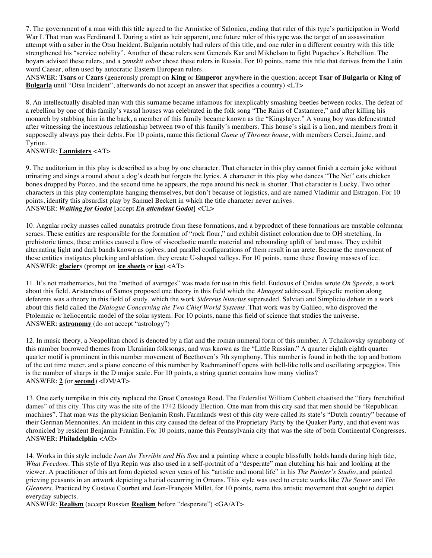7. The government of a man with this title agreed to the Armistice of Salonica, ending that ruler of this type's participation in World War I. That man was Ferdinand I. During a stint as heir apparent, one future ruler of this type was the target of an assassination attempt with a saber in the Otsu Incident. Bulgaria notably had rulers of this title, and one ruler in a different country with this title strengthened his "service nobility". Another of these rulers sent Generals Kar and Mikhelson to fight Pugachev's Rebellion. The boyars advised these rulers, and a *zemskii sobor* chose these rulers in Russia. For 10 points, name this title that derives from the Latin word Caesar, often used by autocratic Eastern European rulers.

ANSWER: **Tsars** or **Czars** (generously prompt on **King** or **Emperor** anywhere in the question; accept **Tsar of Bulgaria** or **King of Bulgaria** until "Otsu Incident", afterwards do not accept an answer that specifies a country) <LT>

8. An intellectually disabled man with this surname became infamous for inexplicably smashing beetles between rocks. The defeat of a rebellion by one of this family's vassal houses was celebrated in the folk song "The Rains of Castamere," and after killing his monarch by stabbing him in the back, a member of this family became known as the "Kingslayer." A young boy was defenestrated after witnessing the incestuous relationship between two of this family's members. This house's sigil is a lion, and members from it supposedly always pay their debts. For 10 points, name this fictional *Game of Thrones house*, with members Cersei, Jaime, and Tyrion.

## ANSWER: **Lannisters** <AT>

9. The auditorium in this play is described as a bog by one character. That character in this play cannot finish a certain joke without urinating and sings a round about a dog's death but forgets the lyrics. A character in this play who dances "The Net" eats chicken bones dropped by Pozzo, and the second time he appears, the rope around his neck is shorter. That character is Lucky. Two other characters in this play contemplate hanging themselves, but don't because of logistics, and are named Vladimir and Estragon. For 10 points, identify this absurdist play by Samuel Beckett in which the title character never arrives. ANSWER: *Waiting for Godot* [accept *En attendant Godot*] <CL>

10. Angular rocky masses called nunataks protrude from these formations, and a byproduct of these formations are unstable columnar seracs. These entities are responsible for the formation of "rock flour," and exhibit distinct coloration due to OH stretching. In prehistoric times, these entities caused a flow of viscoelastic mantle material and rebounding uplift of land mass. They exhibit alternating light and dark bands known as ogives, and parallel configurations of them result in an arete. Because the movement of these entities instigates plucking and ablation, they create U-shaped valleys. For 10 points, name these flowing masses of ice. ANSWER: **glacier**s (prompt on **ice sheets** or **ice**) <AT>

11. It's not mathematics, but the "method of averages" was made for use in this field. Eudoxus of Cnidus wrote *On Speeds*, a work about this field. Aristarchus of Samos proposed one theory in this field which the *Almagest* addressed. Epicyclic motion along deferents was a theory in this field of study, which the work *Sidereus Nuncius* superseded. Salviati and Simplicio debate in a work about this field called the *Dialogue Concerning the Two Chief World Systems*. That work was by Galileo, who disproved the Ptolemaic or heliocentric model of the solar system. For 10 points, name this field of science that studies the universe. ANSWER: **astronomy** (do not accept "astrology")

12. In music theory, a Neapolitan chord is denoted by a flat and the roman numeral form of this number. A Tchaikovsky symphony of this number borrowed themes from Ukrainian folksongs, and was known as the "Little Russian." A quarter eighth eighth quarter quarter motif is prominent in this number movement of Beethoven's 7th symphony. This number is found in both the top and bottom of the cut time meter, and a piano concerto of this number by Rachmaninoff opens with bell-like tolls and oscillating arpeggios. This is the number of sharps in the D major scale. For 10 points, a string quartet contains how many violins? ANSWER: **2** (or **second**) <DM/AT>

13. One early turnpike in this city replaced the Great Conestoga Road. The Federalist William Cobbett chastised the "fiery frenchified dames" of this city. This city was the site of the 1742 Bloody Election. One man from this city said that men should be "Republican machines". That man was the physician Benjamin Rush. Farmlands west of this city were called its state's "Dutch country" because of their German Mennonites. An incident in this city caused the defeat of the Proprietary Party by the Quaker Party, and that event was chronicled by resident Benjamin Franklin. For 10 points, name this Pennsylvania city that was the site of both Continental Congresses. ANSWER: **Philadelphia** <AG>

14. Works in this style include *Ivan the Terrible and His Son* and a painting where a couple blissfully holds hands during high tide, *What Freedom*. This style of Ilya Repin was also used in a self-portrait of a "desperate" man clutching his hair and looking at the viewer. A practitioner of this art form depicted seven years of his "artistic and moral life" in his *The Painter's Studio*, and painted grieving peasants in an artwork depicting a burial occurring in Ornans. This style was used to create works like *The Sower* and *The Gleaners*. Practiced by Gustave Courbet and Jean-François Millet, for 10 points, name this artistic movement that sought to depict everyday subjects.

ANSWER: **Realism** (accept Russian **Realism** before "desperate") <GA/AT>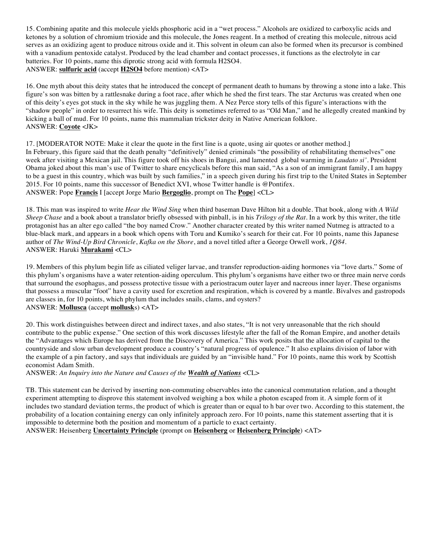15. Combining apatite and this molecule yields phosphoric acid in a "wet process." Alcohols are oxidized to carboxylic acids and ketones by a solution of chromium trioxide and this molecule, the Jones reagent. In a method of creating this molecule, nitrous acid serves as an oxidizing agent to produce nitrous oxide and it. This solvent in oleum can also be formed when its precursor is combined with a vanadium pentoxide catalyst. Produced by the lead chamber and contact processes, it functions as the electrolyte in car batteries. For 10 points, name this diprotic strong acid with formula H2SO4. ANSWER: **sulfuric acid** (accept **H2SO4** before mention) <AT>

16. One myth about this deity states that he introduced the concept of permanent death to humans by throwing a stone into a lake. This figure's son was bitten by a rattlesnake during a foot race, after which he shed the first tears. The star Arcturus was created when one of this deity's eyes got stuck in the sky while he was juggling them. A Nez Perce story tells of this figure's interactions with the "shadow people" in order to resurrect his wife. This deity is sometimes referred to as "Old Man," and he allegedly created mankind by kicking a ball of mud. For 10 points, name this mammalian trickster deity in Native American folklore. ANSWER: **Coyote** <JK>

17. [MODERATOR NOTE: Make it clear the quote in the first line is a quote, using air quotes or another method.] In February, this figure said that the death penalty "definitively" denied criminals "the possibility of rehabilitating themselves" one week after visiting a Mexican jail. This figure took off his shoes in Bangui, and lamented global warming in *Laudato si'*. President Obama joked about this man's use of Twitter to share encyclicals before this man said, "As a son of an immigrant family, I am happy to be a guest in this country, which was built by such families," in a speech given during his first trip to the United States in September 2015. For 10 points, name this successor of Benedict XVI, whose Twitter handle is @Pontifex. ANSWER: Pope **Francis** I [accept Jorge Mario **Bergoglio**, prompt on The **Pope**] <CL>

18. This man was inspired to write *Hear the Wind Sing* when third baseman Dave Hilton hit a double. That book, along with *A Wild Sheep Chase* and a book about a translator briefly obsessed with pinball, is in his *Trilogy of the Rat*. In a work by this writer, the title protagonist has an alter ego called "the boy named Crow." Another character created by this writer named Nutmeg is attracted to a blue-black mark, and appears in a book which opens with Toru and Kumiko's search for their cat. For 10 points, name this Japanese author of *The Wind-Up Bird Chronicle*, *Kafka on the Shore*, and a novel titled after a George Orwell work, *1Q84*. ANSWER: Haruki **Murakami** <CL>

19. Members of this phylum begin life as ciliated veliger larvae, and transfer reproduction-aiding hormones via "love darts." Some of this phylum's organisms have a water retention-aiding operculum. This phylum's organisms have either two or three main nerve cords that surround the esophagus, and possess protective tissue with a periostracum outer layer and nacreous inner layer. These organisms that possess a muscular "foot" have a cavity used for excretion and respiration, which is covered by a mantle. Bivalves and gastropods are classes in, for 10 points, which phylum that includes snails, clams, and oysters? ANSWER: **Mollusca** (accept **mollusk**s) <AT>

20. This work distinguishes between direct and indirect taxes, and also states, "It is not very unreasonable that the rich should contribute to the public expense." One section of this work discusses lifestyle after the fall of the Roman Empire, and another details the "Advantages which Europe has derived from the Discovery of America." This work posits that the allocation of capital to the countryside and slow urban development produce a country's "natural progress of opulence." It also explains division of labor with the example of a pin factory, and says that individuals are guided by an "invisible hand." For 10 points, name this work by Scottish economist Adam Smith.

ANSWER: *An Inquiry into the Nature and Causes of the Wealth of Nations* <CL>

TB. This statement can be derived by inserting non-commuting observables into the canonical commutation relation, and a thought experiment attempting to disprove this statement involved weighing a box while a photon escaped from it. A simple form of it includes two standard deviation terms, the product of which is greater than or equal to h bar over two. According to this statement, the probability of a location containing energy can only infinitely approach zero. For 10 points, name this statement asserting that it is impossible to determine both the position and momentum of a particle to exact certainty.

ANSWER: Heisenberg **Uncertainty Principle** (prompt on **Heisenberg** or **Heisenberg Principle**) <AT>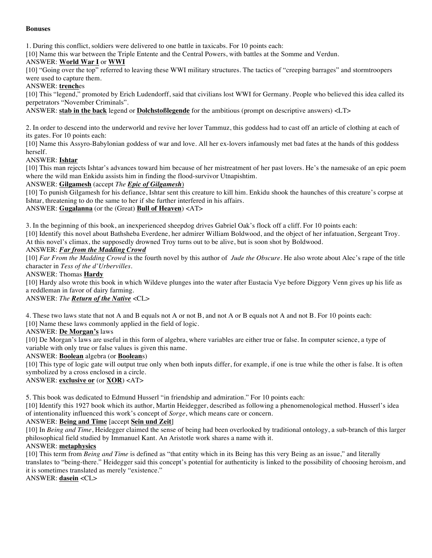## **Bonuses**

1. During this conflict, soldiers were delivered to one battle in taxicabs. For 10 points each:

[10] Name this war between the Triple Entente and the Central Powers, with battles at the Somme and Verdun.

#### ANSWER: **World War I** or **WWI**

[10] "Going over the top" referred to leaving these WWI military structures. The tactics of "creeping barrages" and stormtroopers were used to capture them.

# ANSWER: **trench**es

[10] This "legend," promoted by Erich Ludendorff, said that civilians lost WWI for Germany. People who believed this idea called its perpetrators "November Criminals".

ANSWER: **stab in the back** legend or **Dolchstoßlegende** for the ambitious (prompt on descriptive answers) <LT>

2. In order to descend into the underworld and revive her lover Tammuz, this goddess had to cast off an article of clothing at each of its gates. For 10 points each:

[10] Name this Assyro-Babylonian goddess of war and love. All her ex-lovers infamously met bad fates at the hands of this goddess herself.

#### ANSWER: **Ishtar**

[10] This man rejects Ishtar's advances toward him because of her mistreatment of her past lovers. He's the namesake of an epic poem where the wild man Enkidu assists him in finding the flood-survivor Utnapishtim.

#### ANSWER: **Gilgamesh** (accept *The Epic of Gilgamesh*)

[10] To punish Gilgamesh for his defiance, Ishtar sent this creature to kill him. Enkidu shook the haunches of this creature's corpse at Ishtar, threatening to do the same to her if she further interfered in his affairs.

# ANSWER: **Gugalanna** (or the (Great) **Bull of Heaven**) <AT>

3. In the beginning of this book, an inexperienced sheepdog drives Gabriel Oak's flock off a cliff. For 10 points each:

[10] Identify this novel about Bathsheba Everdene, her admirer William Boldwood, and the object of her infatuation, Sergeant Troy. At this novel's climax, the supposedly drowned Troy turns out to be alive, but is soon shot by Boldwood.

#### ANSWER: *Far from the Madding Crowd*

[10] *Far From the Madding Crowd* is the fourth novel by this author of *Jude the Obscure*. He also wrote about Alec's rape of the title character in *Tess of the d'Urbervilles*.

#### ANSWER: Thomas **Hardy**

[10] Hardy also wrote this book in which Wildeve plunges into the water after Eustacia Vye before Diggory Venn gives up his life as a reddleman in favor of dairy farming.

# ANSWER: *The Return of the Native* <CL>

4. These two laws state that not A and B equals not A or not B, and not A or B equals not A and not B. For 10 points each: [10] Name these laws commonly applied in the field of logic.

#### ANSWER: **De Morgan's** laws

[10] De Morgan's laws are useful in this form of algebra, where variables are either true or false. In computer science, a type of variable with only true or false values is given this name.

#### ANSWER: **Boolean** algebra (or **Boolean**s)

[10] This type of logic gate will output true only when both inputs differ, for example, if one is true while the other is false. It is often symbolized by a cross enclosed in a circle.

# ANSWER: **exclusive or** (or **XOR**) <AT>

5. This book was dedicated to Edmund Husserl "in friendship and admiration." For 10 points each:

[10] Identify this 1927 book which its author, Martin Heidegger, described as following a phenomenological method. Husserl's idea of intentionality influenced this work's concept of *Sorge*, which means care or concern.

## ANSWER: **Being and Time** [accept **Sein und Zeit**]

[10] In *Being and Time*, Heidegger claimed the sense of being had been overlooked by traditional ontology, a sub-branch of this larger philosophical field studied by Immanuel Kant. An Aristotle work shares a name with it.

#### ANSWER: **metaphysics**

[10] This term from *Being and Time* is defined as "that entity which in its Being has this very Being as an issue," and literally translates to "being-there." Heidegger said this concept's potential for authenticity is linked to the possibility of choosing heroism, and it is sometimes translated as merely "existence."

ANSWER: **dasein** <CL>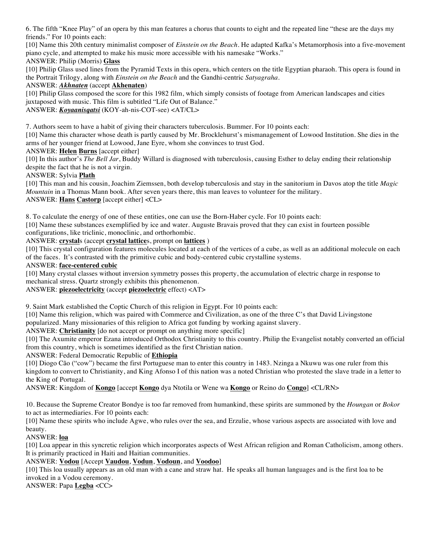6. The fifth "Knee Play" of an opera by this man features a chorus that counts to eight and the repeated line "these are the days my friends." For 10 points each:

[10] Name this 20th century minimalist composer of *Einstein on the Beach*. He adapted Kafka's Metamorphosis into a five-movement piano cycle, and attempted to make his music more accessible with his namesake "Works."

## ANSWER: Philip (Morris) **Glass**

[10] Philip Glass used lines from the Pyramid Texts in this opera, which centers on the title Egyptian pharaoh. This opera is found in the Portrait Trilogy, along with *Einstein on the Beach* and the Gandhi-centric *Satyagraha*.

## ANSWER: *Akhnaten* (accept **Akhenaten**)

[10] Philip Glass composed the score for this 1982 film, which simply consists of footage from American landscapes and cities juxtaposed with music. This film is subtitled "Life Out of Balance."

ANSWER: *Koyaanisqatsi* (KOY-ah-nis-COT-see) <AT/CL>

7. Authors seem to have a habit of giving their characters tuberculosis. Bummer. For 10 points each:

[10] Name this character whose death is partly caused by Mr. Brocklehurst's mismanagement of Lowood Institution. She dies in the arms of her younger friend at Lowood, Jane Eyre, whom she convinces to trust God.

## ANSWER: **Helen Burns** [accept either]

[10] In this author's *The Bell Jar*, Buddy Willard is diagnosed with tuberculosis, causing Esther to delay ending their relationship despite the fact that he is not a virgin.

## ANSWER: Sylvia **Plath**

[10] This man and his cousin, Joachim Ziemssen, both develop tuberculosis and stay in the sanitorium in Davos atop the title *Magic Mountain* in a Thomas Mann book. After seven years there, this man leaves to volunteer for the military. ANSWER: **Hans Castorp** [accept either] <CL>

8. To calculate the energy of one of these entities, one can use the Born-Haber cycle. For 10 points each:

[10] Name these substances exemplified by ice and water. Auguste Bravais proved that they can exist in fourteen possible configurations, like triclinic, monoclinic, and orthorhombic.

## ANSWER: **crystal**s (accept **crystal lattice**s, prompt on **lattices** )

[10] This crystal configuration features molecules located at each of the vertices of a cube, as well as an additional molecule on each of the faces. It's contrasted with the primitive cubic and body-centered cubic crystalline systems.

## ANSWER: **face-centered cubic**

[10] Many crystal classes without inversion symmetry posses this property, the accumulation of electric charge in response to mechanical stress. Quartz strongly exhibits this phenomenon.

ANSWER: **piezoelectricity** (accept **piezoelectric** effect) <AT>

9. Saint Mark established the Coptic Church of this religion in Egypt. For 10 points each:

[10] Name this religion, which was paired with Commerce and Civilization, as one of the three C's that David Livingstone popularized. Many missionaries of this religion to Africa got funding by working against slavery.

ANSWER: **Christianity** [do not accept or prompt on anything more specific]

[10] The Axumite emperor Ezana introduced Orthodox Christianity to this country. Philip the Evangelist notably converted an official from this country, which is sometimes identified as the first Christian nation.

ANSWER: Federal Democratic Republic of **Ethiopia**

[10] Diogo Cão ("cow") became the first Portuguese man to enter this country in 1483. Nzinga a Nkuwu was one ruler from this kingdom to convert to Christianity, and King Afonso I of this nation was a noted Christian who protested the slave trade in a letter to the King of Portugal.

ANSWER: Kingdom of **Kongo** [accept **Kongo** dya Ntotila or Wene wa **Kongo** or Reino do **Congo**] <CL/RN>

10. Because the Supreme Creator Bondye is too far removed from humankind, these spirits are summoned by the *Houngan* or *Bokor* to act as intermediaries. For 10 points each:

[10] Name these spirits who include Agwe, who rules over the sea, and Erzulie, whose various aspects are associated with love and beauty.

# ANSWER: **loa**

[10] Loa appear in this syncretic religion which incorporates aspects of West African religion and Roman Catholicism, among others. It is primarily practiced in Haiti and Haitian communities.

## ANSWER: **Vodou** [Accept **Vaudou**, **Vodun**, **Vodoun**, and **Voodoo**]

[10] This loa usually appears as an old man with a cane and straw hat. He speaks all human languages and is the first loa to be invoked in a Vodou ceremony.

ANSWER: Papa **Legba** <CC>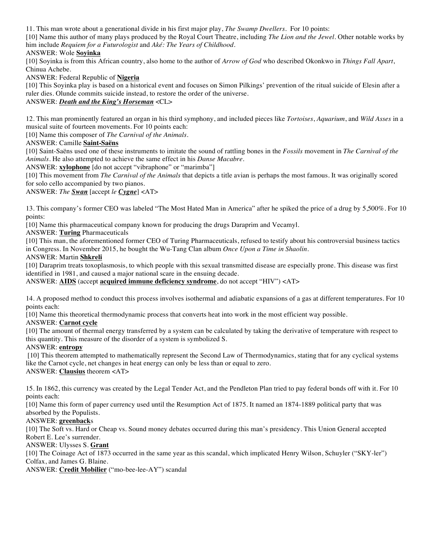11. This man wrote about a generational divide in his first major play, *The Swamp Dwellers*. For 10 points:

[10] Name this author of many plays produced by the Royal Court Theatre, including *The Lion and the Jewel*. Other notable works by him include *Requiem for a Futurologist* and *Aké: The Years of Childhood*.

# ANSWER: Wole **Soyinka**

[10] Soyinka is from this African country, also home to the author of *Arrow of God* who described Okonkwo in *Things Fall Apart*, Chinua Achebe.

ANSWER: Federal Republic of **Nigeria**

[10] This Soyinka play is based on a historical event and focuses on Simon Pilkings' prevention of the ritual suicide of Elesin after a ruler dies. Olunde commits suicide instead, to restore the order of the universe.

# ANSWER: *Death and the King's Horseman* <CL>

12. This man prominently featured an organ in his third symphony, and included pieces like *Tortoises*, *Aquarium*, and *Wild Asses* in a musical suite of fourteen movements. For 10 points each:

[10] Name this composer of *The Carnival of the Animals*.

ANSWER: Camille **Saint-Saëns**

[10] Saint-Saëns used one of these instruments to imitate the sound of rattling bones in the *Fossils* movement in *The Carnival of the Animals*. He also attempted to achieve the same effect in his *Danse Macabre*.

ANSWER: **xylophone** [do not accept "vibraphone" or "marimba"]

[10] This movement from *The Carnival of the Animals* that depicts a title avian is perhaps the most famous. It was originally scored for solo cello accompanied by two pianos.

ANSWER: *The Swan* [accept *le Cygne*] <AT>

13. This company's former CEO was labeled "The Most Hated Man in America" after he spiked the price of a drug by 5,500%. For 10 points:

[10] Name this pharmaceutical company known for producing the drugs Daraprim and Vecamyl.

ANSWER: **Turing** Pharmaceuticals

[10] This man, the aforementioned former CEO of Turing Pharmaceuticals, refused to testify about his controversial business tactics in Congress. In November 2015, he bought the Wu-Tang Clan album *Once Upon a Time in Shaolin.* 

ANSWER: Martin **Shkreli** 

[10] Daraprim treats toxoplasmosis, to which people with this sexual transmitted disease are especially prone. This disease was first identified in 1981, and caused a major national scare in the ensuing decade.

ANSWER: **AIDS** (accept **acquired immune deficiency syndrome**, do not accept "HIV") <AT>

14. A proposed method to conduct this process involves isothermal and adiabatic expansions of a gas at different temperatures. For 10 points each:

[10] Name this theoretical thermodynamic process that converts heat into work in the most efficient way possible.

ANSWER: **Carnot cycle**

[10] The amount of thermal energy transferred by a system can be calculated by taking the derivative of temperature with respect to this quantity. This measure of the disorder of a system is symbolized S.

ANSWER: **entropy**

[10] This theorem attempted to mathematically represent the Second Law of Thermodynamics, stating that for any cyclical systems like the Carnot cycle, net changes in heat energy can only be less than or equal to zero. ANSWER: **Clausius** theorem <AT>

15. In 1862, this currency was created by the Legal Tender Act, and the Pendleton Plan tried to pay federal bonds off with it. For 10 points each:

[10] Name this form of paper currency used until the Resumption Act of 1875. It named an 1874-1889 political party that was absorbed by the Populists.

## ANSWER: **greenback**s

[10] The Soft vs. Hard or Cheap vs. Sound money debates occurred during this man's presidency. This Union General accepted Robert E. Lee's surrender.

ANSWER: Ulysses S. **Grant**

[10] The Coinage Act of 1873 occurred in the same year as this scandal, which implicated Henry Wilson, Schuyler ("SKY-ler") Colfax, and James G. Blaine.

ANSWER: **Credit Mobilier** ("mo-bee-lee-AY") scandal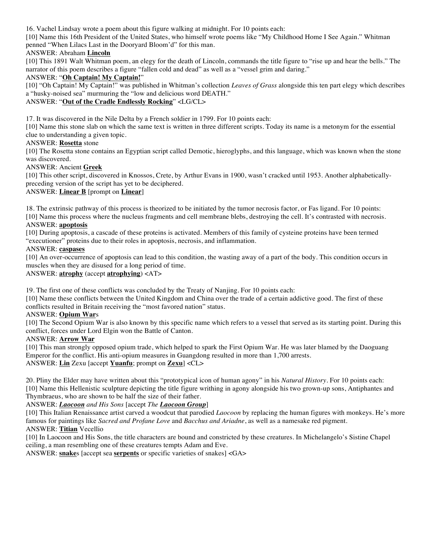16. Vachel Lindsay wrote a poem about this figure walking at midnight. For 10 points each:

[10] Name this 16th President of the United States, who himself wrote poems like "My Childhood Home I See Again." Whitman penned "When Lilacs Last in the Dooryard Bloom'd" for this man.

# ANSWER: Abraham **Lincoln**

[10] This 1891 Walt Whitman poem, an elegy for the death of Lincoln, commands the title figure to "rise up and hear the bells." The narrator of this poem describes a figure "fallen cold and dead" as well as a "vessel grim and daring."

# ANSWER: "**Oh Captain! My Captain!**"

[10] "Oh Captain! My Captain!" was published in Whitman's collection *Leaves of Grass* alongside this ten part elegy which describes a "husky-noised sea" murmuring the "low and delicious word DEATH."

# ANSWER: "**Out of the Cradle Endlessly Rocking**" <LG/CL>

17. It was discovered in the Nile Delta by a French soldier in 1799. For 10 points each:

[10] Name this stone slab on which the same text is written in three different scripts. Today its name is a metonym for the essential clue to understanding a given topic.

## ANSWER: **Rosetta** stone

[10] The Rosetta stone contains an Egyptian script called Demotic, hieroglyphs, and this language, which was known when the stone was discovered.

## ANSWER: Ancient **Greek**

[10] This other script, discovered in Knossos, Crete, by Arthur Evans in 1900, wasn't cracked until 1953. Another alphabeticallypreceding version of the script has yet to be deciphered.

# ANSWER: **Linear B** [prompt on **Linear**]

18. The extrinsic pathway of this process is theorized to be initiated by the tumor necrosis factor, or Fas ligand. For 10 points: [10] Name this process where the nucleus fragments and cell membrane blebs, destroying the cell. It's contrasted with necrosis.

## ANSWER: **apoptosis**

[10] During apoptosis, a cascade of these proteins is activated. Members of this family of cysteine proteins have been termed "executioner" proteins due to their roles in apoptosis, necrosis, and inflammation.

## ANSWER: **caspases**

[10] An over-occurrence of apoptosis can lead to this condition, the wasting away of a part of the body. This condition occurs in muscles when they are disused for a long period of time.

# ANSWER: **atrophy** (accept **atrophying**) <AT>

19. The first one of these conflicts was concluded by the Treaty of Nanjing. For 10 points each:

[10] Name these conflicts between the United Kingdom and China over the trade of a certain addictive good. The first of these conflicts resulted in Britain receiving the "most favored nation" status.

## ANSWER: **Opium War**s

[10] The Second Opium War is also known by this specific name which refers to a vessel that served as its starting point. During this conflict, forces under Lord Elgin won the Battle of Canton.

## ANSWER: **Arrow War**

[10] This man strongly opposed opium trade, which helped to spark the First Opium War. He was later blamed by the Daoguang Emperor for the conflict. His anti-opium measures in Guangdong resulted in more than 1,700 arrests. ANSWER: **Lin** Zexu [accept **Yuanfu**; prompt on **Zexu**] <CL>

20. Pliny the Elder may have written about this "prototypical icon of human agony" in his *Natural History*. For 10 points each: [10] Name this Hellenistic sculpture depicting the title figure writhing in agony alongside his two grown-up sons, Antiphantes and Thymbraeus, who are shown to be half the size of their father.

# ANSWER: *Laocoon and His Sons* [accept *The Laocoon Group*]

[10] This Italian Renaissance artist carved a woodcut that parodied *Laocoon* by replacing the human figures with monkeys. He's more famous for paintings like *Sacred and Profane Love* and *Bacchus and Ariadne*, as well as a namesake red pigment. ANSWER: **Titian** Vecellio

[10] In Laocoon and His Sons, the title characters are bound and constricted by these creatures. In Michelangelo's Sistine Chapel ceiling, a man resembling one of these creatures tempts Adam and Eve.

ANSWER: **snake**s [accept sea **serpents** or specific varieties of snakes] <GA>